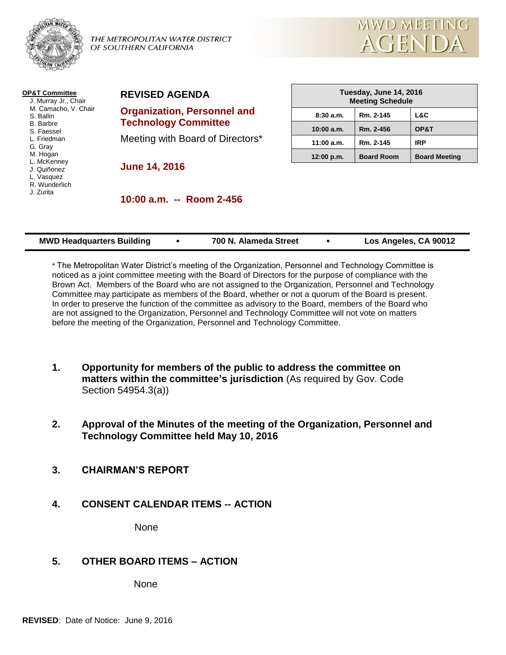

THE METROPOLITAN WATER DISTRICT OF SOUTHERN CALIFORNIA



| <b>OP&amp;T Committee</b><br>J. Murray Jr., Chair                     | <b>REVISED AGE</b>                             |  |  |
|-----------------------------------------------------------------------|------------------------------------------------|--|--|
| M. Camacho, V. Chair<br>S. Ballin<br><b>B.</b> Barbre                 | <b>Organization, I</b><br><b>Technology Co</b> |  |  |
| S. Faessel<br>L. Friedman<br>G. Gray                                  | Meeting with Bo                                |  |  |
| M. Hogan<br>L. McKenney<br>J. Quiñonez<br>L. Vasquez<br>R. Wunderlich | <b>June 14, 2016</b>                           |  |  |
| J. Zurita                                                             | $10:00$ a.m. $-$                               |  |  |
|                                                                       |                                                |  |  |

**Personnel and Technology** 

hard of Directors\*

| Tuesday, June 14, 2016<br><b>Meeting Schedule</b> |                   |                      |  |
|---------------------------------------------------|-------------------|----------------------|--|
| 8:30a.m.                                          | Rm. 2-145         | L&C                  |  |
| $10:00$ a.m.                                      | Rm. 2-456         | OP&T                 |  |
| 11:00 a.m.                                        | Rm. 2-145         | <b>IRP</b>           |  |
| 12:00 p.m.                                        | <b>Board Room</b> | <b>Board Meeting</b> |  |

**10:00 a.m. -- Room 2-456**

| <b>MWD Headquarters Building</b> | 700 N. Alameda Street |  | Los Angeles, CA 90012 |
|----------------------------------|-----------------------|--|-----------------------|
|----------------------------------|-----------------------|--|-----------------------|

\* The Metropolitan Water District's meeting of the Organization, Personnel and Technology Committee is noticed as a joint committee meeting with the Board of Directors for the purpose of compliance with the Brown Act. Members of the Board who are not assigned to the Organization, Personnel and Technology Committee may participate as members of the Board, whether or not a quorum of the Board is present. In order to preserve the function of the committee as advisory to the Board, members of the Board who are not assigned to the Organization, Personnel and Technology Committee will not vote on matters before the meeting of the Organization, Personnel and Technology Committee.

- **1. Opportunity for members of the public to address the committee on matters within the committee's jurisdiction** (As required by Gov. Code Section 54954.3(a))
- **2. Approval of the Minutes of the meeting of the Organization, Personnel and Technology Committee held May 10, 2016**
- **3. CHAIRMAN'S REPORT**
- **4. CONSENT CALENDAR ITEMS -- ACTION**

None

# **5. OTHER BOARD ITEMS – ACTION**

None